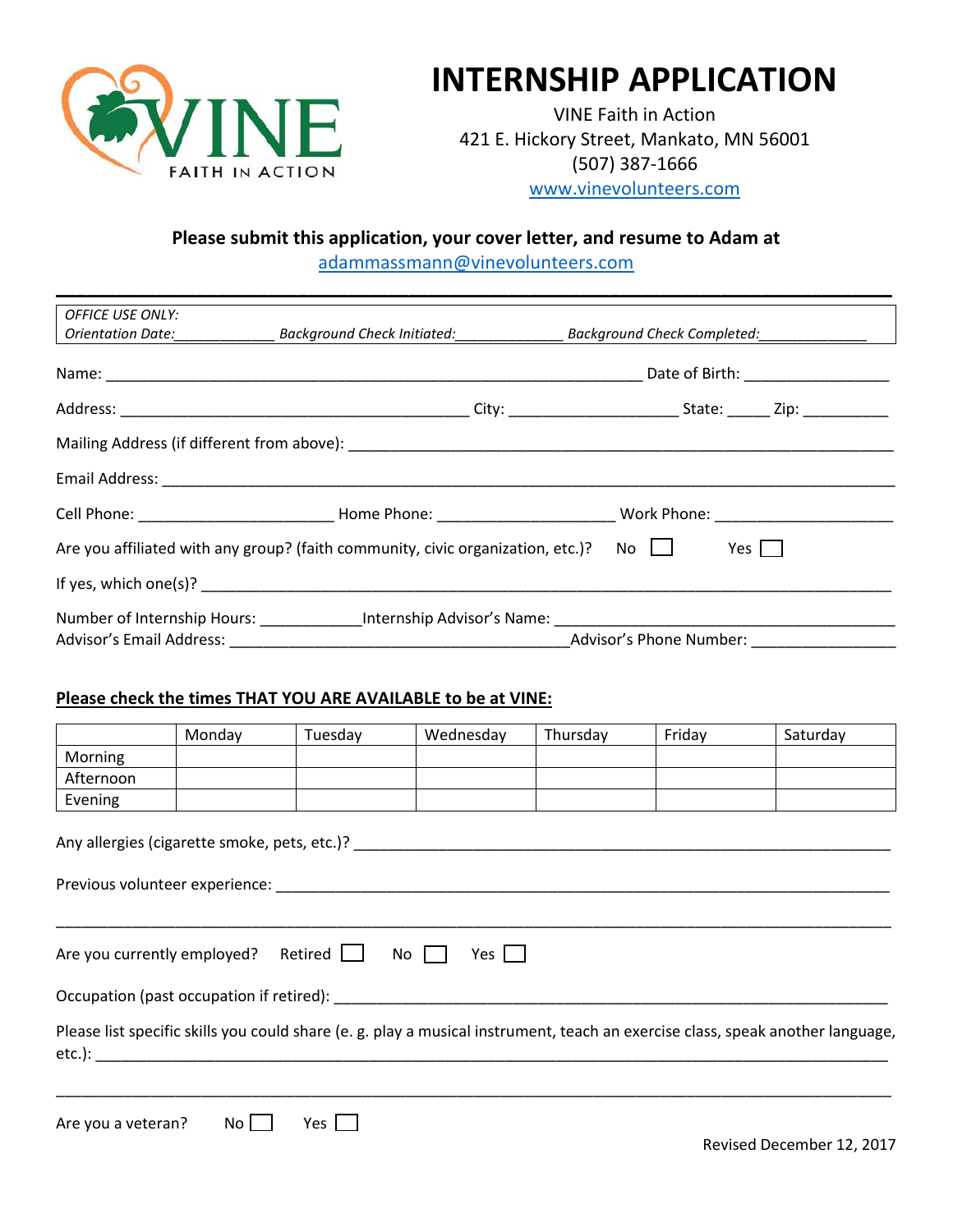

# **INTERNSHIP APPLICATION**

VINE Faith in Action 421 E. Hickory Street, Mankato, MN 56001 (507) 387-1666 [www.vinevolunteers.com](http://www.vinevolunteers.com/)

### **Please submit this application, your cover letter, and resume to Adam at**

[adammassmann@vinevolunteers.com](mailto:adammassmann@vinevolunteers.com) **\_\_\_\_\_\_\_\_\_\_\_\_\_\_\_\_\_\_\_\_\_\_\_\_\_\_\_\_\_\_\_\_\_\_\_\_\_\_\_\_\_\_\_\_\_\_\_\_\_\_\_\_\_\_\_\_\_\_\_\_\_\_\_\_\_\_\_\_\_\_\_\_\_\_\_\_\_\_\_\_\_\_\_**

| <b>OFFICE USE ONLY:</b>                                                                                    |  |  |                                                                                                      |  |  |  |
|------------------------------------------------------------------------------------------------------------|--|--|------------------------------------------------------------------------------------------------------|--|--|--|
|                                                                                                            |  |  |                                                                                                      |  |  |  |
|                                                                                                            |  |  |                                                                                                      |  |  |  |
|                                                                                                            |  |  |                                                                                                      |  |  |  |
|                                                                                                            |  |  |                                                                                                      |  |  |  |
|                                                                                                            |  |  |                                                                                                      |  |  |  |
|                                                                                                            |  |  |                                                                                                      |  |  |  |
| $No \Box$<br>Are you affiliated with any group? (faith community, civic organization, etc.)?<br>Yes $\Box$ |  |  |                                                                                                      |  |  |  |
|                                                                                                            |  |  |                                                                                                      |  |  |  |
|                                                                                                            |  |  | Number of Internship Hours: _______________Internship Advisor's Name: ______________________________ |  |  |  |
|                                                                                                            |  |  |                                                                                                      |  |  |  |

#### **Please check the times THAT YOU ARE AVAILABLE to be at VINE:**

|                             | Monday | Tuesday                                                                                                                                                                                                                        | Wednesday                                                                                                                                                                                                                      | Thursday | Friday | Saturday                                                                                                                       |
|-----------------------------|--------|--------------------------------------------------------------------------------------------------------------------------------------------------------------------------------------------------------------------------------|--------------------------------------------------------------------------------------------------------------------------------------------------------------------------------------------------------------------------------|----------|--------|--------------------------------------------------------------------------------------------------------------------------------|
| Morning                     |        |                                                                                                                                                                                                                                |                                                                                                                                                                                                                                |          |        |                                                                                                                                |
| Afternoon                   |        |                                                                                                                                                                                                                                |                                                                                                                                                                                                                                |          |        |                                                                                                                                |
| Evening                     |        |                                                                                                                                                                                                                                |                                                                                                                                                                                                                                |          |        |                                                                                                                                |
|                             |        | Previous volunteer experience: Network and the settlement of the settlement of the settlement of the settlement of the settlement of the settlement of the settlement of the settlement of the settlement of the settlement of | Any allergies (cigarette smoke, pets, etc.)?                                                                                                                                                                                   |          |        |                                                                                                                                |
|                             |        |                                                                                                                                                                                                                                |                                                                                                                                                                                                                                |          |        |                                                                                                                                |
|                             |        |                                                                                                                                                                                                                                |                                                                                                                                                                                                                                |          |        |                                                                                                                                |
| Are you currently employed? |        | Retired $\Box$                                                                                                                                                                                                                 | No<br>Yes $\vert$                                                                                                                                                                                                              |          |        |                                                                                                                                |
|                             |        |                                                                                                                                                                                                                                | Occupation (past occupation if retired): Notified and the set of the set of the set of the set of the set of the set of the set of the set of the set of the set of the set of the set of the set of the set of the set of the |          |        |                                                                                                                                |
|                             |        | etc.): the contract of the contract of the contract of the contract of the contract of the contract of the contract of the contract of the contract of the contract of the contract of the contract of the contract of the con |                                                                                                                                                                                                                                |          |        | Please list specific skills you could share (e. g. play a musical instrument, teach an exercise class, speak another language, |
|                             |        |                                                                                                                                                                                                                                |                                                                                                                                                                                                                                |          |        |                                                                                                                                |
|                             |        |                                                                                                                                                                                                                                |                                                                                                                                                                                                                                |          |        |                                                                                                                                |
| Are you a veteran?          | No     | Yes [                                                                                                                                                                                                                          |                                                                                                                                                                                                                                |          |        |                                                                                                                                |